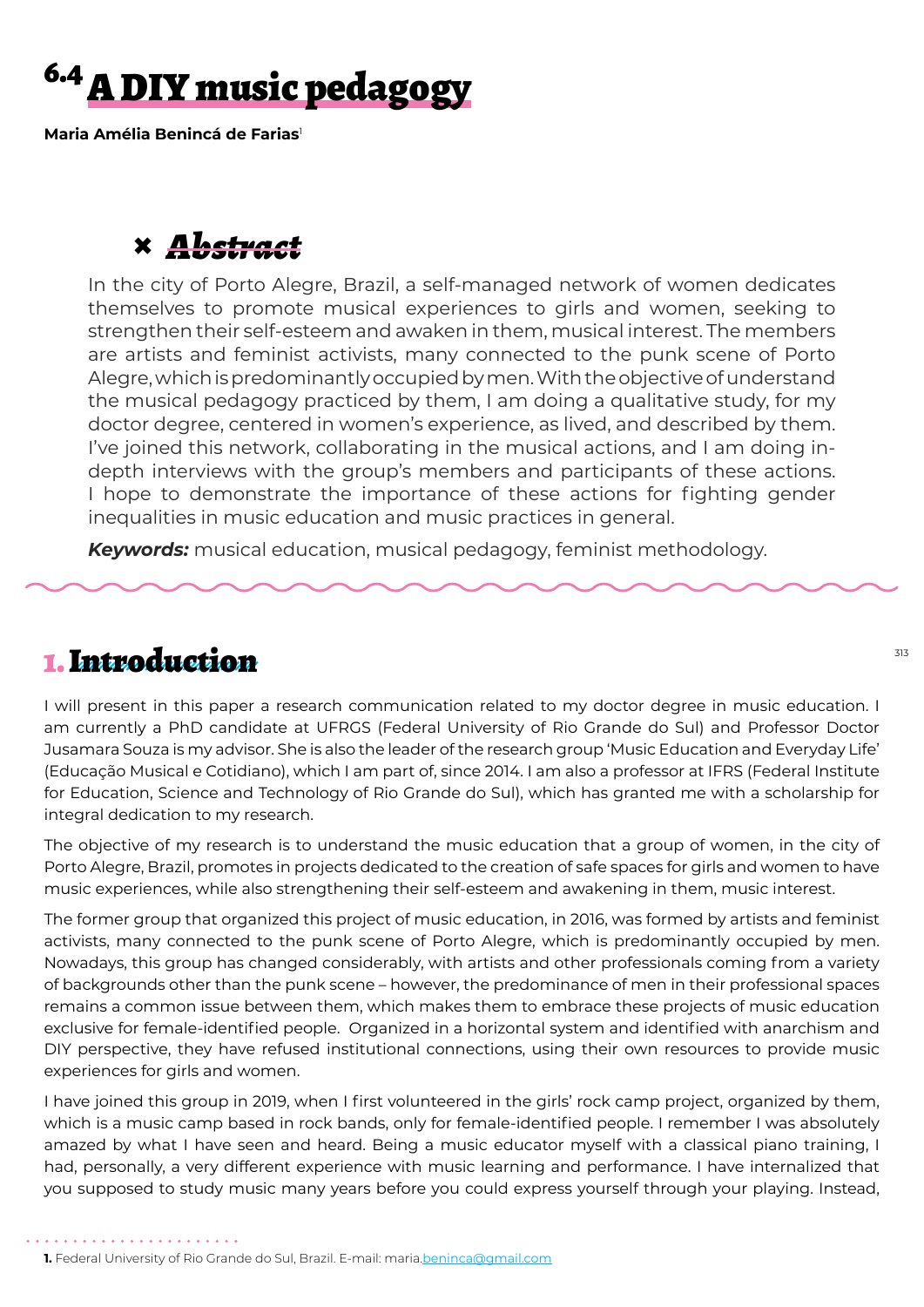# <sup>6.4</sup> A DIY music pedagogy

**Maria Amélia Benincá de Farias**<sup>1</sup>

# **×** *Abstract*

In the city of Porto Alegre, Brazil, a self-managed network of women dedicates themselves to promote musical experiences to girls and women, seeking to strengthen their self-esteem and awaken in them, musical interest. The members are artists and feminist activists, many connected to the punk scene of Porto Alegre, which is predominantly occupied by men. With the objective of understand the musical pedagogy practiced by them, I am doing a qualitative study, for my doctor degree, centered in women's experience, as lived, and described by them. I've joined this network, collaborating in the musical actions, and I am doing indepth interviews with the group's members and participants of these actions. I hope to demonstrate the importance of these actions for fighting gender inequalities in music education and music practices in general.

*Keywords:* musical education, musical pedagogy, feminist methodology.

#### 1. Introduction

I will present in this paper a research communication related to my doctor degree in music education. I am currently a PhD candidate at UFRGS (Federal University of Rio Grande do Sul) and Professor Doctor Jusamara Souza is my advisor. She is also the leader of the research group 'Music Education and Everyday Life' (Educação Musical e Cotidiano), which I am part of, since 2014. I am also a professor at IFRS (Federal Institute for Education, Science and Technology of Rio Grande do Sul), which has granted me with a scholarship for integral dedication to my research.

The objective of my research is to understand the music education that a group of women, in the city of Porto Alegre, Brazil, promotes in projects dedicated to the creation of safe spaces for girls and women to have music experiences, while also strengthening their self-esteem and awakening in them, music interest.

The former group that organized this project of music education, in 2016, was formed by artists and feminist activists, many connected to the punk scene of Porto Alegre, which is predominantly occupied by men. Nowadays, this group has changed considerably, with artists and other professionals coming from a variety of backgrounds other than the punk scene – however, the predominance of men in their professional spaces remains a common issue between them, which makes them to embrace these projects of music education exclusive for female-identified people. Organized in a horizontal system and identified with anarchism and DIY perspective, they have refused institutional connections, using their own resources to provide music experiences for girls and women.

I have joined this group in 2019, when I first volunteered in the girls' rock camp project, organized by them, which is a music camp based in rock bands, only for female-identified people. I remember I was absolutely amazed by what I have seen and heard. Being a music educator myself with a classical piano training, I had, personally, a very different experience with music learning and performance. I have internalized that you supposed to study music many years before you could express yourself through your playing. Instead,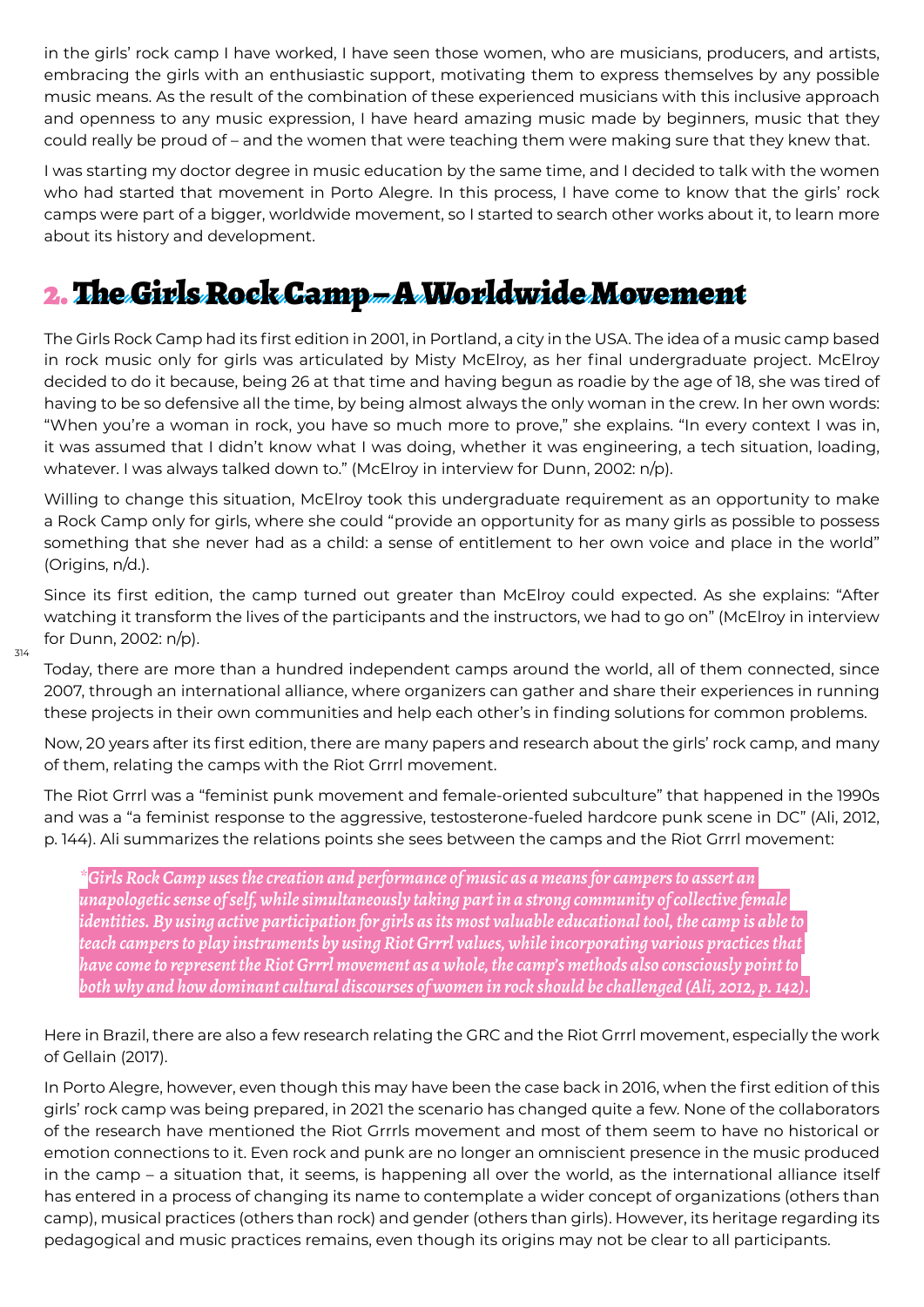in the girls' rock camp I have worked, I have seen those women, who are musicians, producers, and artists, embracing the girls with an enthusiastic support, motivating them to express themselves by any possible music means. As the result of the combination of these experienced musicians with this inclusive approach and openness to any music expression, I have heard amazing music made by beginners, music that they could really be proud of – and the women that were teaching them were making sure that they knew that.

I was starting my doctor degree in music education by the same time, and I decided to talk with the women who had started that movement in Porto Alegre. In this process, I have come to know that the girls' rock camps were part of a bigger, worldwide movement, so I started to search other works about it, to learn more about its history and development.

## 2. The Girls Rock Camp – A Worldwide Movement

The Girls Rock Camp had its first edition in 2001, in Portland, a city in the USA. The idea of a music camp based in rock music only for girls was articulated by Misty McElroy, as her final undergraduate project. McElroy decided to do it because, being 26 at that time and having begun as roadie by the age of 18, she was tired of having to be so defensive all the time, by being almost always the only woman in the crew. In her own words: "When you're a woman in rock, you have so much more to prove," she explains. "In every context I was in, it was assumed that I didn't know what I was doing, whether it was engineering, a tech situation, loading, whatever. I was always talked down to." (McElroy in interview for Dunn, 2002: n/p).

Willing to change this situation, McElroy took this undergraduate requirement as an opportunity to make a Rock Camp only for girls, where she could "provide an opportunity for as many girls as possible to possess something that she never had as a child: a sense of entitlement to her own voice and place in the world" (Origins, n/d.).

Since its first edition, the camp turned out greater than McElroy could expected. As she explains: "After watching it transform the lives of the participants and the instructors, we had to go on" (McElroy in interview for Dunn, 2002: n/p).

314

Today, there are more than a hundred independent camps around the world, all of them connected, since 2007, through an international alliance, where organizers can gather and share their experiences in running these projects in their own communities and help each other's in finding solutions for common problems.

Now, 20 years after its first edition, there are many papers and research about the girls' rock camp, and many of them, relating the camps with the Riot Grrrl movement.

The Riot Grrrl was a "feminist punk movement and female-oriented subculture" that happened in the 1990s and was a "a feminist response to the aggressive, testosterone-fueled hardcore punk scene in DC" (Ali, 2012, p. 144). Ali summarizes the relations points she sees between the camps and the Riot Grrrl movement:

*\*Girls Rock Camp uses the creation and performance of music as a means for campers to assert an unapologetic sense of self, while simultaneously taking part in a strong community of collective female identities. By using active participation for girls as its most valuable educational tool, the camp is able to teach campers to play instruments by using Riot Grrrl values, while incorporating various practices that have come to represent the Riot Grrrl movement as a whole, the camp's methods also consciously point to both why and how dominant cultural discourses of women in rock should be challenged (Ali, 2012, p. 142).*

Here in Brazil, there are also a few research relating the GRC and the Riot Grrrl movement, especially the work of Gellain (2017).

In Porto Alegre, however, even though this may have been the case back in 2016, when the first edition of this girls' rock camp was being prepared, in 2021 the scenario has changed quite a few. None of the collaborators of the research have mentioned the Riot Grrrls movement and most of them seem to have no historical or emotion connections to it. Even rock and punk are no longer an omniscient presence in the music produced in the camp – a situation that, it seems, is happening all over the world, as the international alliance itself has entered in a process of changing its name to contemplate a wider concept of organizations (others than camp), musical practices (others than rock) and gender (others than girls). However, its heritage regarding its pedagogical and music practices remains, even though its origins may not be clear to all participants.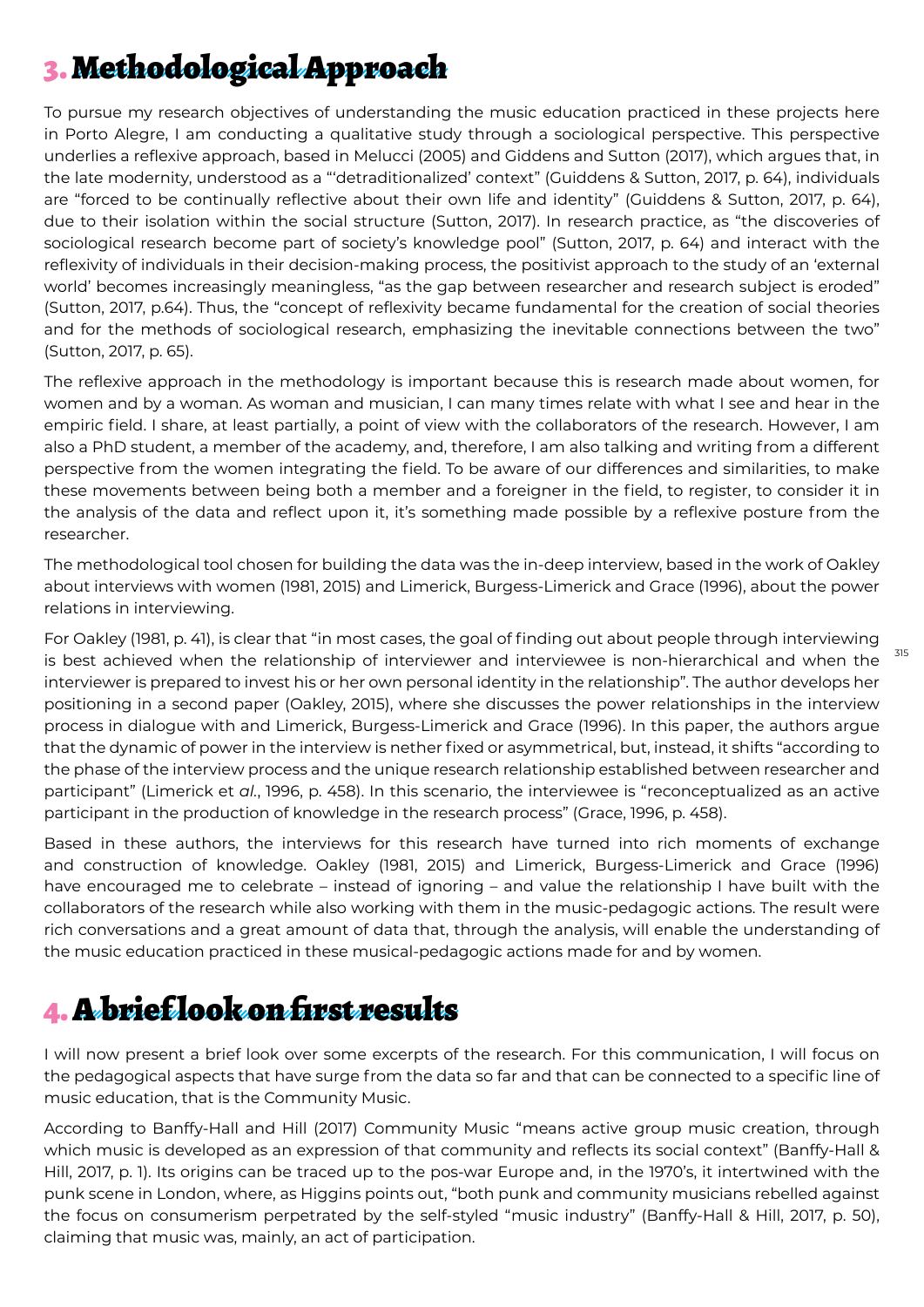# 3. Methodological Approach

To pursue my research objectives of understanding the music education practiced in these projects here in Porto Alegre, I am conducting a qualitative study through a sociological perspective. This perspective underlies a reflexive approach, based in Melucci (2005) and Giddens and Sutton (2017), which argues that, in the late modernity, understood as a "'detraditionalized' context" (Guiddens & Sutton, 2017, p. 64), individuals are "forced to be continually reflective about their own life and identity" (Guiddens & Sutton, 2017, p. 64), due to their isolation within the social structure (Sutton, 2017). In research practice, as "the discoveries of sociological research become part of society's knowledge pool" (Sutton, 2017, p. 64) and interact with the reflexivity of individuals in their decision-making process, the positivist approach to the study of an 'external world' becomes increasingly meaningless, "as the gap between researcher and research subject is eroded" (Sutton, 2017, p.64). Thus, the "concept of reflexivity became fundamental for the creation of social theories and for the methods of sociological research, emphasizing the inevitable connections between the two" (Sutton, 2017, p. 65).

The reflexive approach in the methodology is important because this is research made about women, for women and by a woman. As woman and musician, I can many times relate with what I see and hear in the empiric field. I share, at least partially, a point of view with the collaborators of the research. However, I am also a PhD student, a member of the academy, and, therefore, I am also talking and writing from a different perspective from the women integrating the field. To be aware of our differences and similarities, to make these movements between being both a member and a foreigner in the field, to register, to consider it in the analysis of the data and reflect upon it, it's something made possible by a reflexive posture from the researcher.

The methodological tool chosen for building the data was the in-deep interview, based in the work of Oakley about interviews with women (1981, 2015) and Limerick, Burgess-Limerick and Grace (1996), about the power relations in interviewing.

For Oakley (1981, p. 41), is clear that "in most cases, the goal of finding out about people through interviewing is best achieved when the relationship of interviewer and interviewee is non-hierarchical and when the interviewer is prepared to invest his or her own personal identity in the relationship". The author develops her positioning in a second paper (Oakley, 2015), where she discusses the power relationships in the interview process in dialogue with and Limerick, Burgess-Limerick and Grace (1996). In this paper, the authors argue that the dynamic of power in the interview is nether fixed or asymmetrical, but, instead, it shifts "according to the phase of the interview process and the unique research relationship established between researcher and participant" (Limerick et *al.*, 1996, p. 458). In this scenario, the interviewee is "reconceptualized as an active participant in the production of knowledge in the research process" (Grace, 1996, p. 458).

315

Based in these authors, the interviews for this research have turned into rich moments of exchange and construction of knowledge. Oakley (1981, 2015) and Limerick, Burgess-Limerick and Grace (1996) have encouraged me to celebrate – instead of ignoring – and value the relationship I have built with the collaborators of the research while also working with them in the music-pedagogic actions. The result were rich conversations and a great amount of data that, through the analysis, will enable the understanding of the music education practiced in these musical-pedagogic actions made for and by women.

# 4. A brief look on first results

I will now present a brief look over some excerpts of the research. For this communication, I will focus on the pedagogical aspects that have surge from the data so far and that can be connected to a specific line of music education, that is the Community Music.

According to Banffy-Hall and Hill (2017) Community Music "means active group music creation, through which music is developed as an expression of that community and reflects its social context" (Banffy-Hall & Hill, 2017, p. 1). Its origins can be traced up to the pos-war Europe and, in the 1970's, it intertwined with the punk scene in London, where, as Higgins points out, "both punk and community musicians rebelled against the focus on consumerism perpetrated by the self-styled "music industry" (Banffy-Hall & Hill, 2017, p. 50), claiming that music was, mainly, an act of participation.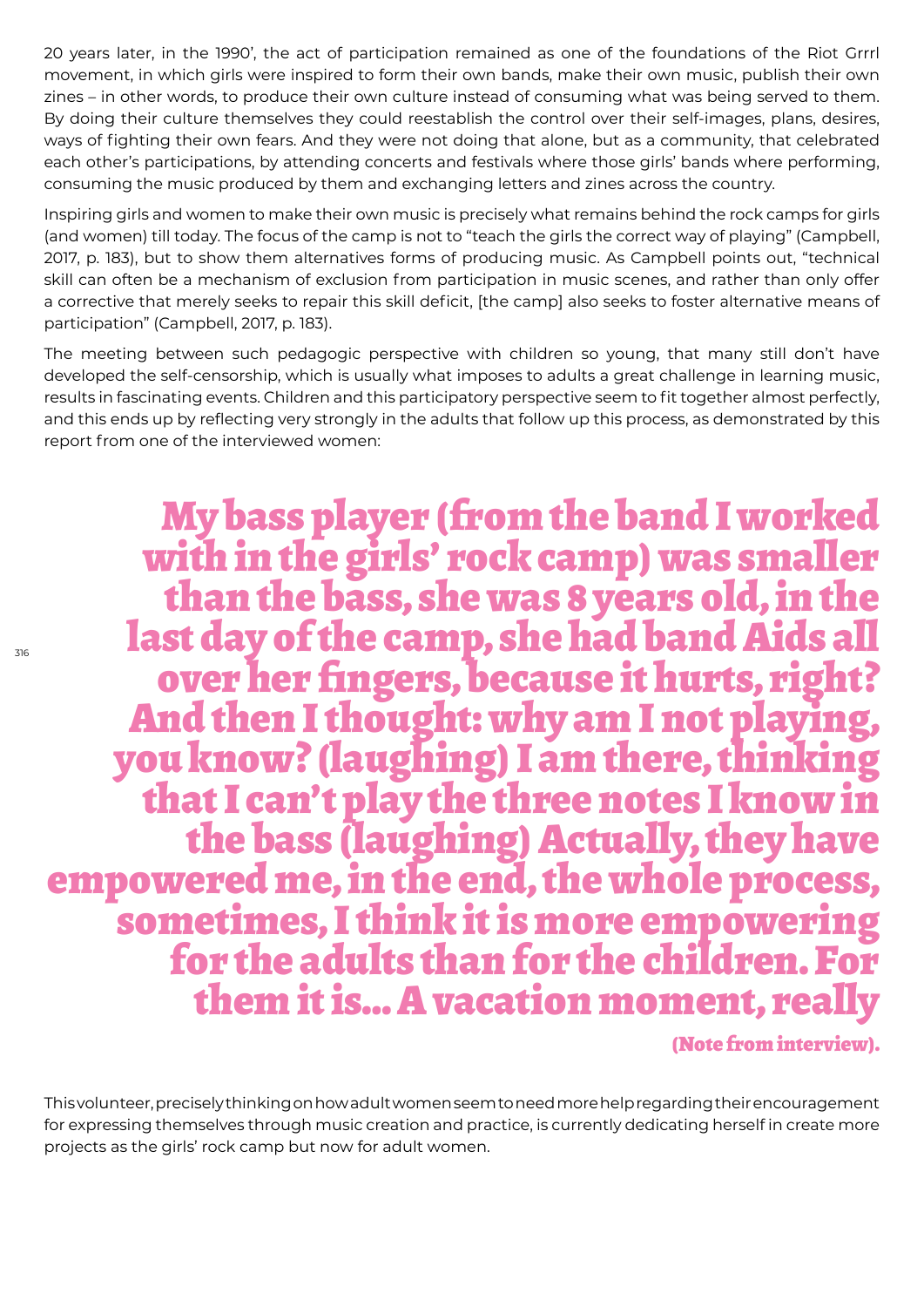20 years later, in the 1990', the act of participation remained as one of the foundations of the Riot Grrrl movement, in which girls were inspired to form their own bands, make their own music, publish their own zines – in other words, to produce their own culture instead of consuming what was being served to them. By doing their culture themselves they could reestablish the control over their self-images, plans, desires, ways of fighting their own fears. And they were not doing that alone, but as a community, that celebrated each other's participations, by attending concerts and festivals where those girls' bands where performing, consuming the music produced by them and exchanging letters and zines across the country.

Inspiring girls and women to make their own music is precisely what remains behind the rock camps for girls (and women) till today. The focus of the camp is not to "teach the girls the correct way of playing" (Campbell, 2017, p. 183), but to show them alternatives forms of producing music. As Campbell points out, "technical skill can often be a mechanism of exclusion from participation in music scenes, and rather than only offer a corrective that merely seeks to repair this skill deficit, [the camp] also seeks to foster alternative means of participation" (Campbell, 2017, p. 183).

The meeting between such pedagogic perspective with children so young, that many still don't have developed the self-censorship, which is usually what imposes to adults a great challenge in learning music, results in fascinating events. Children and this participatory perspective seem to fit together almost perfectly, and this ends up by reflecting very strongly in the adults that follow up this process, as demonstrated by this report from one of the interviewed women:

My bass player (from the band I worked with in the girls' rock camp) was smaller than the bass, she was 8 years old, in the last day of the camp, she had band Aids all over her fingers, because it hurts, right? And then I thought: why am I not playing, you know? (laughing) I am there, thinking the bass (laughing) Actually, they have<br>empowered me, in the end, the whole process,<br>sometimes, I think it is more empowering<br>for the adults than for the children. For them it is... A vacation moment, rea

(Note from interview).

This volunteer, precisely thinking on how adult women seem to need more help regarding their encouragement for expressing themselves through music creation and practice, is currently dedicating herself in create more projects as the girls' rock camp but now for adult women.